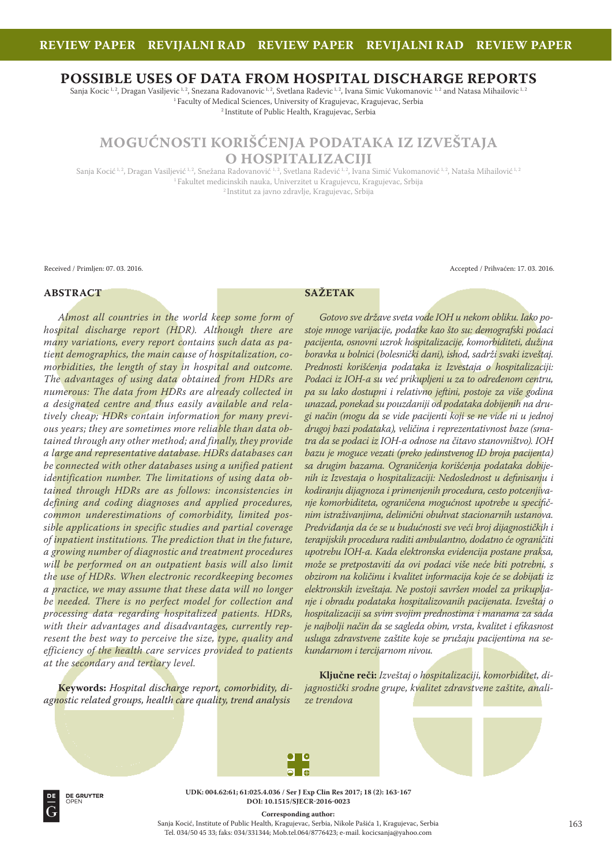# **POSSIBLE USES OF DATA FROM HOSPITAL DISCHARGE REPORTS**

Sanja Kocic<sup>1, 2</sup>, Dragan Vasiljevic<sup>1, 2</sup>, Snezana Radovanovic<sup>1, 2</sup>, Svetlana Radevic<sup>1, 2</sup>, Ivana Simic Vukomanovic<sup>1, 2</sup> and Natasa Mihailovic<sup>1, 2</sup> <sup>1</sup> Faculty of Medical Sciences, University of Kragujevac, Kragujevac, Serbia <sup>2</sup> Institute of Public Health, Kragujevac, Serbia

**MOGUĆNOSTI KORIŠĆENJA PODATAKA IZ IZVEŠTAJA**

**O HOSPITALIZACIJI**

Sanja Kocić<sup>1,2</sup>, Dragan Vasiljević<sup>1,2</sup>, Snežana Radovanović<sup>1,2</sup>, Svetlana Radević<sup>1,2</sup>, Ivana Simić Vukomanović<sup>1,2</sup>, Nataša Mihailović<sup>1,2</sup> <sup>1</sup> Fakultet medicinskih nauka, Univerzitet u Kragujevcu, Kragujevac, Srbija <sup>2</sup> Institut za javno zdravlje, Kragujevac, Srbija

Received / Primljen: 07. 03. 2016. Accepted / Prihvaćen: 17. 03. 2016.

# **ABSTRACT**

**SAŽETAK** 

*Almost all countries in the world keep some form of hospital discharge report (HDR). Although there are many variations, every report contains such data as patient demographics, the main cause of hospitalization, comorbidities, the length of stay in hospital and outcome. The advantages of using data obtained from HDRs are numerous: The data from HDRs are already collected in a designated centre and thus easily available and relatively cheap; HDRs contain information for many previous years; they are sometimes more reliable than data obtained through any other method; and finally, they provide a large and representative database. HDRs databases can be connected with other databases using a unified patient identification number. The limitations of using data obtained through HDRs are as follows: inconsistencies in defining and coding diagnoses and applied procedures, common underestimations of comorbidity, limited possible applications in specific studies and partial coverage of inpatient institutions. The prediction that in the future, a growing number of diagnostic and treatment procedures will be performed on an outpatient basis will also limit the use of HDRs. When electronic recordkeeping becomes a practice, we may assume that these data will no longer be needed. There is no perfect model for collection and processing data regarding hospitalized patients. HDRs, with their advantages and disadvantages, currently represent the best way to perceive the size, type, quality and efficiency of the health care services provided to patients at the secondary and tertiary level.* 

**Keywords:** *Hospital discharge report, comorbidity, diagnostic related groups, health care quality, trend analysis*

*Gotovo sve države sveta vode IOH u nekom obliku. Iako postoje mnoge varijacije, podatke kao što su: demografski podaci pacijenta, osnovni uzrok hospitalizacije, komorbiditeti, dužina boravka u bolnici (bolesnički dani), ishod, sadrži svaki izveštaj. Prednosti korišćenja podataka iz Izvestaja o hospitalizaciji: Podaci iz IOH-a su već prikupljeni u za to određenom centru, pa su lako dostupni i relativno jeftini, postoje za više godina unazad, ponekad su pouzdaniji od podataka dobijenih na drugi način (mogu da se vide pacijenti koji se ne vide ni u jednoj drugoj bazi podataka), veličina i reprezentativnost baze (smatra da se podaci iz IOH-a odnose na čitavo stanovništvo). IOH bazu je moguce vezati (preko jedinstvenog ID broja pacijenta) sa drugim bazama. Ograničenja korišćenja podataka dobije*nih iz Izvestaja o hospitalizaciji: Nedoslednost u definisanju i *kodiranju dijagnoza i primenjenih procedura, cesto potcenjivanje komorbiditeta, ograničena mogućnost upotrebe u specifi čnim istraživanjima, delimični obuhvat stacionarnih ustanova. Predviđanja da će se u budućnosti sve veći broj dijagnostičkih i terapijskih procedura raditi ambulantno, dodatno će ograničiti upotrebu IOH-a. Kada elektronska evidencija postane praksa, može se pretpostaviti da ovi podaci više neće biti potrebni, s obzirom na količinu i kvalitet informacija koje će se dobijati iz elektronskih izveštaja. Ne postoji savršen model za prikupljanje i obradu podataka hospitalizovanih pacijenata. Izveštaj o hospitalizaciji sa svim svojim prednostima i manama za sada je najbolji način da se sagleda obim, vrsta, kvalitet i efi kasnost usluga zdravstvene zaštite koje se pružaju pacijentima na sekundarnom i tercijarnom nivou.* 

**Ključne reči:** *Izveštaj o hospitalizaciji, komorbiditet, dijagnostički srodne grupe, kvalitet zdravstvene zaštite, analize trendova*





**UDK: 004.62:61; 61:025.4.036 / Ser J Exp Clin Res 2017; 18 2: 163167 DOI: 10.1515/SJECR20160023**

**Corresponding author:** 

Sanja Kocić, Institute of Public Health, Kragujevac, Serbia, Nikole Pašića 1, Kragujevac, Serbia Tel. 034/50 45 33; faks: 034/331344; Mob.tel.064/8776423; e-mail. kocicsanja@yahoo.com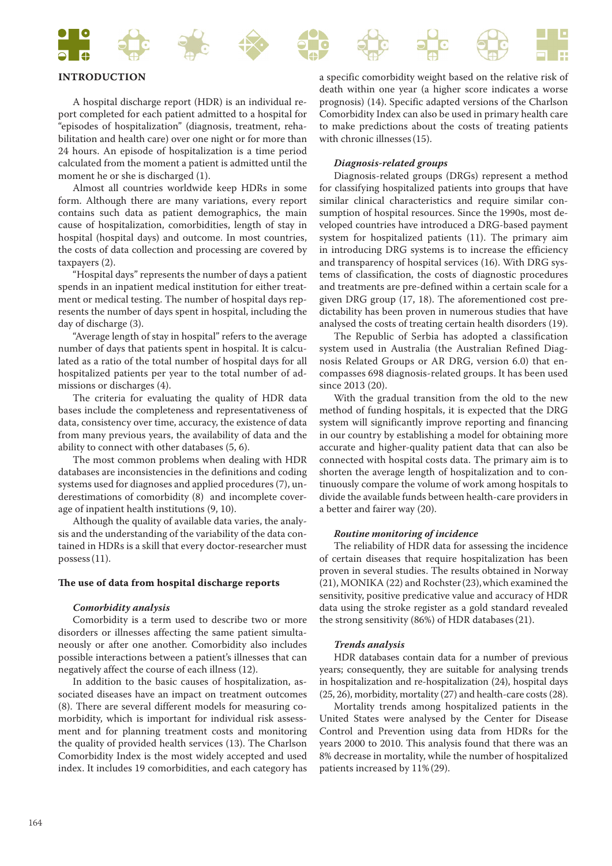

# **INTRODUCTION**

A hospital discharge report (HDR) is an individual report completed for each patient admitted to a hospital for "episodes of hospitalization" (diagnosis, treatment, rehabilitation and health care) over one night or for more than 24 hours. An episode of hospitalization is a time period calculated from the moment a patient is admitted until the moment he or she is discharged (1).

Almost all countries worldwide keep HDRs in some form. Although there are many variations, every report contains such data as patient demographics, the main cause of hospitalization, comorbidities, length of stay in hospital (hospital days) and outcome. In most countries, the costs of data collection and processing are covered by taxpayers (2).

"Hospital days" represents the number of days a patient spends in an inpatient medical institution for either treatment or medical testing. The number of hospital days represents the number of days spent in hospital, including the day of discharge (3).

"Average length of stay in hospital" refers to the average number of days that patients spent in hospital. It is calculated as a ratio of the total number of hospital days for all hospitalized patients per year to the total number of admissions or discharges (4).

The criteria for evaluating the quality of HDR data bases include the completeness and representativeness of data, consistency over time, accuracy, the existence of data from many previous years, the availability of data and the ability to connect with other databases (5, 6).

The most common problems when dealing with HDR databases are inconsistencies in the definitions and coding systems used for diagnoses and applied procedures (7), underestimations of comorbidity (8) and incomplete coverage of inpatient health institutions (9, 10).

Although the quality of available data varies, the analysis and the understanding of the variability of the data contained in HDRs is a skill that every doctor-researcher must possess (11).

#### The use of data from hospital discharge reports

#### *Comorbidity analysis*

Comorbidity is a term used to describe two or more disorders or illnesses affecting the same patient simultaneously or after one another. Comorbidity also includes possible interactions between a patient's illnesses that can negatively affect the course of each illness (12).

In addition to the basic causes of hospitalization, associated diseases have an impact on treatment outcomes (8). There are several different models for measuring comorbidity, which is important for individual risk assessment and for planning treatment costs and monitoring the quality of provided health services (13). The Charlson Comorbidity Index is the most widely accepted and used index. It includes 19 comorbidities, and each category has

a specific comorbidity weight based on the relative risk of death within one year (a higher score indicates a worse prognosis) (14). Specific adapted versions of the Charlson Comorbidity Index can also be used in primary health care to make predictions about the costs of treating patients with chronic illnesses (15).

#### *Diagnosis-related groups*

Diagnosis-related groups (DRGs) represent a method for classifying hospitalized patients into groups that have similar clinical characteristics and require similar consumption of hospital resources. Since the 1990s, most developed countries have introduced a DRG-based payment system for hospitalized patients (11). The primary aim in introducing DRG systems is to increase the efficiency and transparency of hospital services (16). With DRG systems of classification, the costs of diagnostic procedures and treatments are pre-defined within a certain scale for a given DRG group (17, 18). The aforementioned cost predictability has been proven in numerous studies that have analysed the costs of treating certain health disorders (19).

The Republic of Serbia has adopted a classification system used in Australia (the Australian Refined Diagnosis Related Groups or AR DRG, version 6.0) that encompasses 698 diagnosis-related groups. It has been used since 2013 (20).

With the gradual transition from the old to the new method of funding hospitals, it is expected that the DRG system will significantly improve reporting and financing in our country by establishing a model for obtaining more accurate and higher-quality patient data that can also be connected with hospital costs data. The primary aim is to shorten the average length of hospitalization and to continuously compare the volume of work among hospitals to divide the available funds between health-care providers in a better and fairer way (20).

#### *Routine monitoring of incidence*

The reliability of HDR data for assessing the incidence of certain diseases that require hospitalization has been proven in several studies. The results obtained in Norway (21), MONIKA (22) and Rochster(23), which examined the sensitivity, positive predicative value and accuracy of HDR data using the stroke register as a gold standard revealed the strong sensitivity (86%) of HDR databases(21).

#### *Trends analysis*

HDR databases contain data for a number of previous years; consequently, they are suitable for analysing trends in hospitalization and re-hospitalization (24), hospital days (25, 26), morbidity, mortality (27) and health-care costs (28).

Mortality trends among hospitalized patients in the United States were analysed by the Center for Disease Control and Prevention using data from HDRs for the years 2000 to 2010. This analysis found that there was an 8% decrease in mortality, while the number of hospitalized patients increased by 11%(29).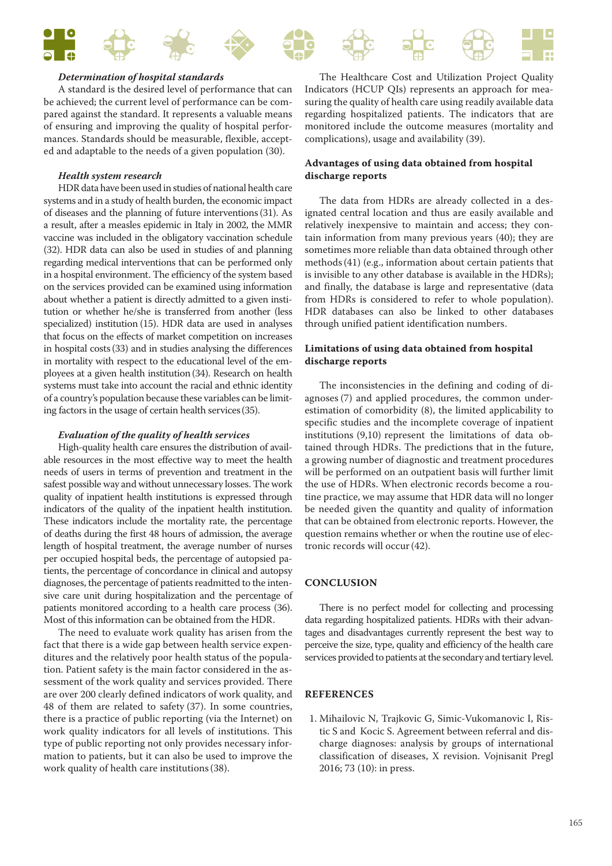

#### *Determination of hospital standards*

A standard is the desired level of performance that can be achieved; the current level of performance can be compared against the standard. It represents a valuable means of ensuring and improving the quality of hospital performances. Standards should be measurable, flexible, accepted and adaptable to the needs of a given population (30).

#### *Health system research*

HDR data have been used in studies of national health care systems and in a study of health burden, the economic impact of diseases and the planning of future interventions(31). As a result, after a measles epidemic in Italy in 2002, the MMR vaccine was included in the obligatory vaccination schedule (32). HDR data can also be used in studies of and planning regarding medical interventions that can be performed only in a hospital environment. The efficiency of the system based on the services provided can be examined using information about whether a patient is directly admitted to a given institution or whether he/she is transferred from another (less specialized) institution (15). HDR data are used in analyses that focus on the effects of market competition on increases in hospital costs(33) and in studies analysing the differences in mortality with respect to the educational level of the employees at a given health institution(34). Research on health systems must take into account the racial and ethnic identity of a country's population because these variables can be limiting factors in the usage of certain health services(35).

#### *Evaluation of the quality of health services*

High-quality health care ensures the distribution of available resources in the most effective way to meet the health needs of users in terms of prevention and treatment in the safest possible way and without unnecessary losses. The work quality of inpatient health institutions is expressed through indicators of the quality of the inpatient health institution. These indicators include the mortality rate, the percentage of deaths during the first 48 hours of admission, the average length of hospital treatment, the average number of nurses per occupied hospital beds, the percentage of autopsied patients, the percentage of concordance in clinical and autopsy diagnoses, the percentage of patients readmitted to the intensive care unit during hospitalization and the percentage of patients monitored according to a health care process (36). Most of this information can be obtained from the HDR.

The need to evaluate work quality has arisen from the fact that there is a wide gap between health service expenditures and the relatively poor health status of the population. Patient safety is the main factor considered in the assessment of the work quality and services provided. There are over 200 clearly defined indicators of work quality, and 48 of them are related to safety (37). In some countries, there is a practice of public reporting (via the Internet) on work quality indicators for all levels of institutions. This type of public reporting not only provides necessary information to patients, but it can also be used to improve the work quality of health care institutions(38).

The Healthcare Cost and Utilization Project Quality Indicators (HCUP QIs) represents an approach for measuring the quality of health care using readily available data regarding hospitalized patients. The indicators that are monitored include the outcome measures (mortality and complications), usage and availability (39).

# **Advantages of using data obtained from hospital discharge reports**

The data from HDRs are already collected in a designated central location and thus are easily available and relatively inexpensive to maintain and access; they contain information from many previous years (40); they are sometimes more reliable than data obtained through other methods(41) (e.g., information about certain patients that is invisible to any other database is available in the HDRs); and finally, the database is large and representative (data from HDRs is considered to refer to whole population). HDR databases can also be linked to other databases through unified patient identification numbers.

### **Limitations of using data obtained from hospital discharge reports**

The inconsistencies in the defining and coding of diagnoses (7) and applied procedures, the common underestimation of comorbidity (8), the limited applicability to specific studies and the incomplete coverage of inpatient institutions (9,10) represent the limitations of data obtained through HDRs. The predictions that in the future, a growing number of diagnostic and treatment procedures will be performed on an outpatient basis will further limit the use of HDRs. When electronic records become a routine practice, we may assume that HDR data will no longer be needed given the quantity and quality of information that can be obtained from electronic reports. However, the question remains whether or when the routine use of electronic records will occur(42).

#### **CONCLUSION**

There is no perfect model for collecting and processing data regarding hospitalized patients. HDRs with their advantages and disadvantages currently represent the best way to perceive the size, type, quality and efficiency of the health care services provided to patients at the secondary and tertiary level.

#### **REFERENCES**

 1. Mihailovic N, Trajkovic G, Simic-Vukomanovic I, Ristic S and Kocic S. Agreement between referral and discharge diagnoses: analysis by groups of international classification of diseases, X revision. Vojnisanit Pregl 2016; 73 (10): in press.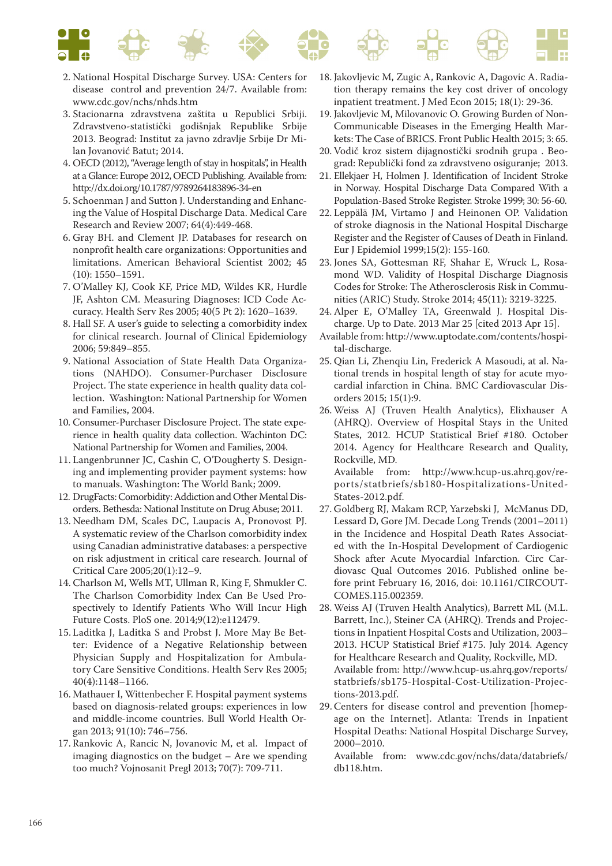

- 2. National Hospital Discharge Survey. USA: Centers for disease control and prevention 24/7. Available from: www.cdc.gov/nchs/nhds.htm
- 3. Stacionarna zdravstvena zaštita u Republici Srbiji. Zdravstveno-statistički godišnjak Republike Srbije 2013. Beograd: Institut za javno zdravlje Srbije Dr Milan Jovanović Batut; 2014.
- 4. OECD (2012), "Average length of stay in hospitals", in Health at a Glance: Europe 2012, OECD Publishing. Available from: http://dx.doi.org/10.1787/9789264183896-34-en
- 5. Schoenman J and Sutton J. Understanding and Enhancing the Value of Hospital Discharge Data. Medical Care Research and Review 2007; 64(4):449-468.
- 6. Gray BH. and Clement JP. Databases for research on nonprofit health care organizations: Opportunities and limitations. American Behavioral Scientist 2002; 45 (10): 1550–1591.
- 7. O'Malley KJ, Cook KF, Price MD, Wildes KR, Hurdle JF, Ashton CM. Measuring Diagnoses: ICD Code Accuracy. Health Serv Res 2005; 40(5 Pt 2): 1620–1639.
- 8. Hall SF. A user's guide to selecting a comorbidity index for clinical research. Journal of Clinical Epidemiology 2006; 59:849–855.
- 9. National Association of State Health Data Organizations (NAHDO). Consumer-Purchaser Disclosure Project. The state experience in health quality data collection. Washington: National Partnership for Women and Families, 2004.
- 10. Consumer-Purchaser Disclosure Project. The state experience in health quality data collection. Wachinton DC: National Partnership for Women and Families, 2004.
- 11. Langenbrunner JC, Cashin C, O'Dougherty S. Designing and implementing provider payment systems: how to manuals. Washington: The World Bank; 2009.
- 12. DrugFacts: Comorbidity: Addiction and Other Mental Disorders. Bethesda: National Institute on Drug Abuse; 2011.
- 13. Needham DM, Scales DC, Laupacis A, Pronovost PJ. A systematic review of the Charlson comorbidity index using Canadian administrative databases: a perspective on risk adjustment in critical care research. Journal of Critical Care 2005;20(1):12–9.
- 14. Charlson M, Wells MT, Ullman R, King F, Shmukler C. The Charlson Comorbidity Index Can Be Used Prospectively to Identify Patients Who Will Incur High Future Costs. PloS one. 2014;9(12):e112479.
- 15. Laditka J, Laditka S and Probst J. More May Be Better: Evidence of a Negative Relationship between Physician Supply and Hospitalization for Ambulatory Care Sensitive Conditions. Health Serv Res 2005; 40(4):1148–1166.
- 16. Mathauer I, Wittenbecher F. Hospital payment systems based on diagnosis-related groups: experiences in low and middle-income countries. Bull World Health Organ 2013; 91(10): 746–756.
- 17. Rankovic A, Rancic N, Jovanovic M, et al. Impact of imaging diagnostics on the budget – Are we spending too much? Vojnosanit Pregl 2013; 70(7): 709-711.
- 18. Jakovljevic M, Zugic A, Rankovic A, Dagovic A. Radiation therapy remains the key cost driver of oncology inpatient treatment. J Med Econ 2015; 18(1): 29-36.
- 19. Jakovljevic M, Milovanovic O. Growing Burden of Non-Communicable Diseases in the Emerging Health Markets: The Case of BRICS. Front Public Health 2015; 3: 65.
- 20. Vodič kroz sistem dijagnostički srodnih grupa . Beograd: Republički fond za zdravstveno osiguranje; 2013.
- 21. Ellekjaer H, Holmen J. Identification of Incident Stroke in Norway. Hospital Discharge Data Compared With a Population-Based Stroke Register. Stroke 1999; 30: 56-60.
- 22. Leppälä JM, Virtamo J and Heinonen OP. Validation of stroke diagnosis in the National Hospital Discharge Register and the Register of Causes of Death in Finland. Eur J Epidemiol 1999;15(2): 155-160.
- 23. Jones SA, Gottesman RF, Shahar E, Wruck L, Rosamond WD. Validity of Hospital Discharge Diagnosis Codes for Stroke: The Atherosclerosis Risk in Communities (ARIC) Study. Stroke 2014; 45(11): 3219-3225.
- 24. Alper E, O'Malley TA, Greenwald J. Hospital Discharge. Up to Date. 2013 Mar 25 [cited 2013 Apr 15].
- Available from: http://www.uptodate.com/contents/hospital-discharge.
- 25. Qian Li, Zhenqiu Lin, Frederick A Masoudi, at al. National trends in hospital length of stay for acute myocardial infarction in China. BMC Cardiovascular Disorders 2015; 15(1):9.
- 26. Weiss AJ (Truven Health Analytics), Elixhauser A (AHRQ). Overview of Hospital Stays in the United States, 2012. HCUP Statistical Brief #180. October 2014. Agency for Healthcare Research and Quality, Rockville, MD.

 Available from: http://www.hcup-us.ahrq.gov/reports/statbriefs/sb180-Hospitalizations-United-States-2012.pdf.

- 27. Goldberg RJ, Makam RCP, Yarzebski J, McManus DD, Lessard D, Gore JM. Decade Long Trends (2001–2011) in the Incidence and Hospital Death Rates Associated with the In-Hospital Development of Cardiogenic Shock after Acute Myocardial Infarction. Circ Cardiovasc Qual Outcomes 2016. Published online before print February 16, 2016, doi: 10.1161/CIRCOUT-COMES.115.002359.
- 28. Weiss AJ (Truven Health Analytics), Barrett ML (M.L. Barrett, Inc.), Steiner CA (AHRQ). Trends and Projections in Inpatient Hospital Costs and Utilization, 2003– 2013. HCUP Statistical Brief #175. July 2014. Agency for Healthcare Research and Quality, Rockville, MD. Available from: http://www.hcup-us.ahrq.gov/reports/ statbriefs/sb175-Hospital-Cost-Utilization-Projections-2013.pdf.
- 29. Centers for disease control and prevention [homepage on the Internet]. Atlanta: Trends in Inpatient Hospital Deaths: National Hospital Discharge Survey, 2000–2010.
	- Available from: www.cdc.gov/nchs/data/databriefs/ db118.htm.